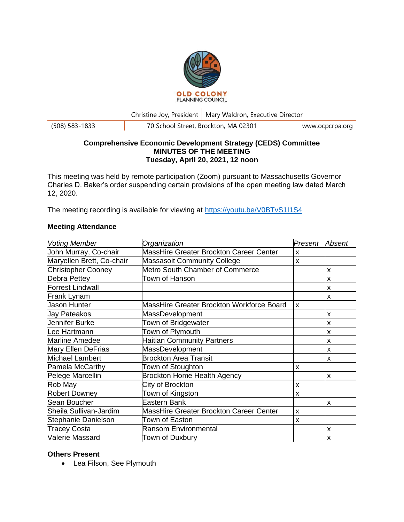

Christine Joy, President | Mary Waldron, Executive Director

(508) 583-1833 70 School Street, Brockton, MA 02301 www.ocpcrpa.org

# **Comprehensive Economic Development Strategy (CEDS) Committee MINUTES OF THE MEETING Tuesday, April 20, 2021, 12 noon**

This meeting was held by remote participation (Zoom) pursuant to Massachusetts Governor Charles D. Baker's order suspending certain provisions of the open meeting law dated March 12, 2020.

The meeting recording is available for viewing at<https://youtu.be/V0BTvS1I1S4>

# **Meeting Attendance**

| <b>Voting Member</b>      | Organization                                   | Present | Absent |
|---------------------------|------------------------------------------------|---------|--------|
| John Murray, Co-chair     | MassHire Greater Brockton Career Center        | X       |        |
| Maryellen Brett, Co-chair | <b>Massasoit Community College</b>             | X       |        |
| <b>Christopher Cooney</b> | Metro South Chamber of Commerce                |         | X      |
| Debra Pettey              | Town of Hanson                                 |         | X      |
| <b>Forrest Lindwall</b>   |                                                |         | X      |
| Frank Lynam               |                                                |         | X      |
| Jason Hunter              | MassHire Greater Brockton Workforce Board      | X       |        |
| Jay Pateakos              | MassDevelopment                                |         | X      |
| Jennifer Burke            | Town of Bridgewater                            |         | X      |
| Lee Hartmann              | Town of Plymouth                               |         | X      |
| <b>Marline Amedee</b>     | <b>Haitian Community Partners</b>              |         | X      |
| <b>Mary Ellen DeFrias</b> | MassDevelopment                                |         | X      |
| <b>Michael Lambert</b>    | <b>Brockton Area Transit</b>                   |         | X      |
| Pamela McCarthy           | Town of Stoughton                              | X       |        |
| Pelege Marcellin          | <b>Brockton Home Health Agency</b>             |         | X      |
| Rob May                   | City of Brockton                               | X       |        |
| <b>Robert Downey</b>      | Town of Kingston                               | X       |        |
| Sean Boucher              | Eastern Bank                                   |         | X      |
| Sheila Sullivan-Jardim    | <b>MassHire Greater Brockton Career Center</b> | X       |        |
| Stephanie Danielson       | Town of Easton                                 | x       |        |
| <b>Tracey Costa</b>       | <b>Ransom Environmental</b>                    |         | X      |
| Valerie Massard           | Town of Duxbury                                |         | X      |

# **Others Present**

• Lea Filson, See Plymouth